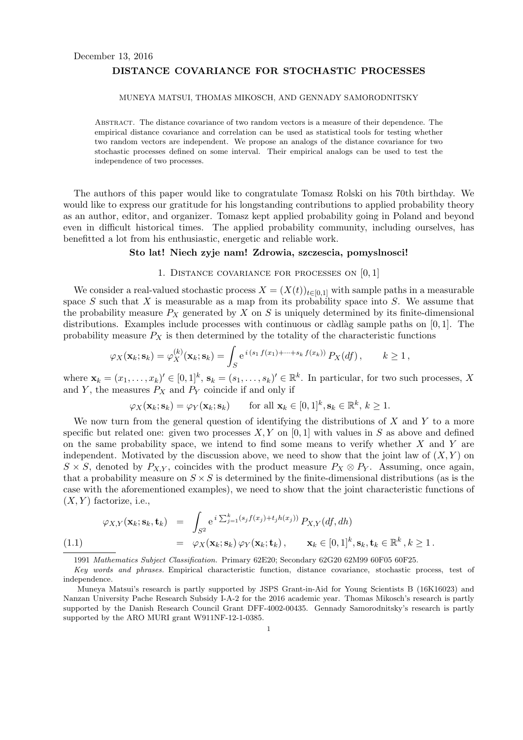# December 13, 2016 **DISTANCE COVARIANCE FOR STOCHASTIC PROCESSES**

#### MUNEYA MATSUI, THOMAS MIKOSCH, AND GENNADY SAMORODNITSKY

Abstract. The distance covariance of two random vectors is a measure of their dependence. The empirical distance covariance and correlation can be used as statistical tools for testing whether two random vectors are independent. We propose an analogs of the distance covariance for two stochastic processes defined on some interval. Their empirical analogs can be used to test the independence of two processes.

The authors of this paper would like to congratulate Tomasz Rolski on his 70th birthday. We would like to express our gratitude for his longstanding contributions to applied probability theory as an author, editor, and organizer. Tomasz kept applied probability going in Poland and beyond even in difficult historical times. The applied probability community, including ourselves, has benefitted a lot from his enthusiastic, energetic and reliable work.

#### **Sto lat! Niech zyje nam! Zdrowia, szczescia, pomyslnosci!**

## 1. Distance covariance for processes on [0*,* 1]

We consider a real-valued stochastic process  $X = (X(t))_{t \in [0,1]}$  with sample paths in a measurable space *S* such that *X* is measurable as a map from its probability space into *S*. We assume that the probability measure  $P_X$  generated by  $X$  on  $S$  is uniquely determined by its finite-dimensional distributions. Examples include processes with continuous or càdlàg sample paths on  $[0, 1]$ . The probability measure  $P_X$  is then determined by the totality of the characteristic functions

$$
\varphi_X(\mathbf{x}_k; \mathbf{s}_k) = \varphi_X^{(k)}(\mathbf{x}_k; \mathbf{s}_k) = \int_S e^{i(s_1 f(x_1) + \dots + s_k f(x_k))} P_X(df), \qquad k \ge 1,
$$

where  $\mathbf{x}_k = (x_1, \ldots, x_k)' \in [0, 1]^k$ ,  $\mathbf{s}_k = (s_1, \ldots, s_k)' \in \mathbb{R}^k$ . In particular, for two such processes, X and *Y*, the measures  $P_X$  and  $P_Y$  coincide if and only if

$$
\varphi_X(\mathbf{x}_k; \mathbf{s}_k) = \varphi_Y(\mathbf{x}_k; \mathbf{s}_k)
$$
 for all  $\mathbf{x}_k \in [0, 1]^k, \mathbf{s}_k \in \mathbb{R}^k, k \ge 1$ .

We now turn from the general question of identifying the distributions of *X* and *Y* to a more specific but related one: given two processes  $X, Y$  on [0, 1] with values in  $S$  as above and defined on the same probability space, we intend to find some means to verify whether *X* and *Y* are independent. Motivated by the discussion above, we need to show that the joint law of  $(X, Y)$  on  $S \times S$ , denoted by *P<sub>X,Y</sub>*, coincides with the product measure  $P_X \otimes P_Y$ . Assuming, once again, that a probability measure on  $S \times S$  is determined by the finite-dimensional distributions (as is the case with the aforementioned examples), we need to show that the joint characteristic functions of  $(X, Y)$  factorize, i.e.,

$$
\varphi_{X,Y}(\mathbf{x}_k; \mathbf{s}_k, \mathbf{t}_k) = \int_{S^2} e^{i \sum_{j=1}^k (s_j f(x_j) + t_j h(x_j))} P_{X,Y}(df, dh)
$$
  
=  $\varphi_X(\mathbf{x}_k; \mathbf{s}_k) \varphi_Y(\mathbf{x}_k; \mathbf{t}_k), \qquad \mathbf{x}_k \in [0, 1]^k, \mathbf{s}_k, \mathbf{t}_k \in \mathbb{R}^k, k \ge 1.$ 

1991 *Mathematics Subject Classification.* Primary 62E20; Secondary 62G20 62M99 60F05 60F25.

*Key words and phrases.* Empirical characteristic function, distance covariance, stochastic process, test of independence.

Muneya Matsui's research is partly supported by JSPS Grant-in-Aid for Young Scientists B (16K16023) and Nanzan University Pache Research Subsidy I-A-2 for the 2016 academic year. Thomas Mikosch's research is partly supported by the Danish Research Council Grant DFF-4002-00435. Gennady Samorodnitsky's research is partly supported by the ARO MURI grant W911NF-12-1-0385.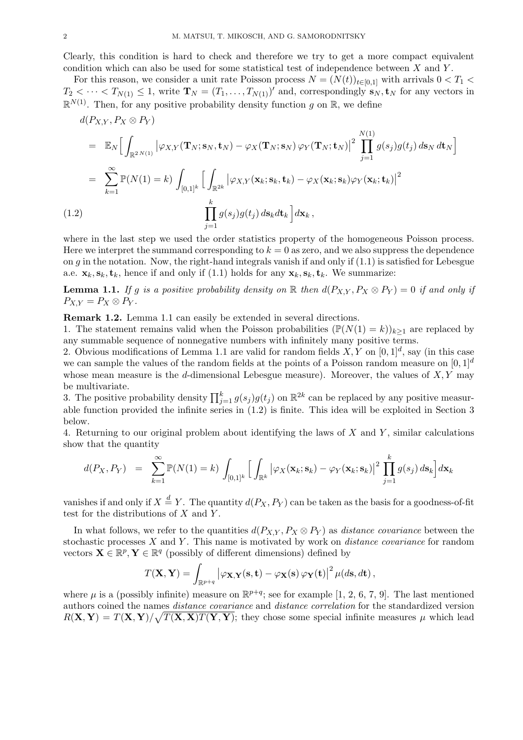Clearly, this condition is hard to check and therefore we try to get a more compact equivalent condition which can also be used for some statistical test of independence between *X* and *Y* .

For this reason, we consider a unit rate Poisson process  $N = (N(t))_{t \in [0,1]}$  with arrivals  $0 < T_1$  $T_2 < \cdots < T_{N(1)} \leq 1$ , write  $\mathbf{T}_N = (T_1, \ldots, T_{N(1)})'$  and, correspondingly  $\mathbf{s}_N, \mathbf{t}_N$  for any vectors in  $\mathbb{R}^{N(1)}$ . Then, for any positive probability density function *g* on  $\mathbb{R}$ , we define

$$
d(P_{X,Y}, P_X \otimes P_Y)
$$
\n
$$
= \mathbb{E}_N \Big[ \int_{\mathbb{R}^{2N(1)}} |\varphi_{X,Y}(\mathbf{T}_N; \mathbf{s}_N, \mathbf{t}_N) - \varphi_X(\mathbf{T}_N; \mathbf{s}_N) \varphi_Y(\mathbf{T}_N; \mathbf{t}_N)|^2 \prod_{j=1}^{N(1)} g(s_j)g(t_j) ds_N dt_N \Big]
$$
\n
$$
= \sum_{k=1}^{\infty} \mathbb{P}(N(1) = k) \int_{[0,1]^k} \Big[ \int_{\mathbb{R}^{2k}} |\varphi_{X,Y}(\mathbf{x}_k; \mathbf{s}_k, \mathbf{t}_k) - \varphi_X(\mathbf{x}_k; \mathbf{s}_k) \varphi_Y(\mathbf{x}_k; \mathbf{t}_k)|^2
$$
\n(1.2)\n
$$
\prod_{j=1}^k g(s_j)g(t_j) ds_k dt_k \Big] d\mathbf{x}_k,
$$

where in the last step we used the order statistics property of the homogeneous Poisson process. Here we interpret the summand corresponding to  $k = 0$  as zero, and we also suppress the dependence on *g* in the notation. Now, the right-hand integrals vanish if and only if (1.1) is satisfied for Lebesgue a.e.  $\mathbf{x}_k, \mathbf{s}_k, \mathbf{t}_k$ , hence if and only if (1.1) holds for any  $\mathbf{x}_k, \mathbf{s}_k, \mathbf{t}_k$ . We summarize:

**Lemma 1.1.** If g is a positive probability density on R then  $d(P_{X,Y}, P_X \otimes P_Y) = 0$  if and only if  $P_{X,Y} = P_X \otimes P_Y$ .

**Remark 1.2.** Lemma 1.1 can easily be extended in several directions.

1. The statement remains valid when the Poisson probabilities  $(\mathbb{P}(N(1) = k))_{k \geq 1}$  are replaced by any summable sequence of nonnegative numbers with infinitely many positive terms.

2. Obvious modifications of Lemma 1.1 are valid for random fields  $X, Y$  on  $[0, 1]^d$ , say (in this case we can sample the values of the random fields at the points of a Poisson random measure on [0*,* 1]*<sup>d</sup>* whose mean measure is the *d*-dimensional Lebesgue measure). Moreover, the values of *X, Y* may be multivariate.

3. The positive probability density  $\prod_{j=1}^{k} g(s_j)g(t_j)$  on  $\mathbb{R}^{2k}$  can be replaced by any positive measurable function provided the infinite series in (1.2) is finite. This idea will be exploited in Section 3 below.

4. Returning to our original problem about identifying the laws of *X* and *Y* , similar calculations show that the quantity

$$
d(P_X, P_Y) = \sum_{k=1}^{\infty} \mathbb{P}(N(1) = k) \int_{[0,1]^k} \left[ \int_{\mathbb{R}^k} |\varphi_X(\mathbf{x}_k; \mathbf{s}_k) - \varphi_Y(\mathbf{x}_k; \mathbf{s}_k)|^2 \prod_{j=1}^k g(s_j) \, d\mathbf{s}_k \right] d\mathbf{x}_k
$$

vanishes if and only if  $X \stackrel{d}{=} Y$ . The quantity  $d(P_X, P_Y)$  can be taken as the basis for a goodness-of-fit test for the distributions of *X* and *Y* .

In what follows, we refer to the quantities  $d(P_{X,Y}, P_X \otimes P_Y)$  as *distance covariance* between the stochastic processes *X* and *Y* . This name is motivated by work on *distance covariance* for random vectors  $\mathbf{X} \in \mathbb{R}^p$ ,  $\mathbf{Y} \in \mathbb{R}^q$  (possibly of different dimensions) defined by

$$
T(\mathbf{X}, \mathbf{Y}) = \int_{\mathbb{R}^{p+q}} \left| \varphi_{\mathbf{X}, \mathbf{Y}}(\mathbf{s}, \mathbf{t}) - \varphi_{\mathbf{X}}(\mathbf{s}) \varphi_{\mathbf{Y}}(\mathbf{t}) \right|^2 \mu(d\mathbf{s}, d\mathbf{t}),
$$

where  $\mu$  is a (possibly infinite) measure on  $\mathbb{R}^{p+q}$ ; see for example [1, 2, 6, 7, 9]. The last mentioned authors coined the names *distance covariance* and *distance correlation* for the standardized version  $R(X, Y) = T(X, Y)/\sqrt{T(X, X)T(Y, Y)}$ ; they chose some special infinite measures  $\mu$  which lead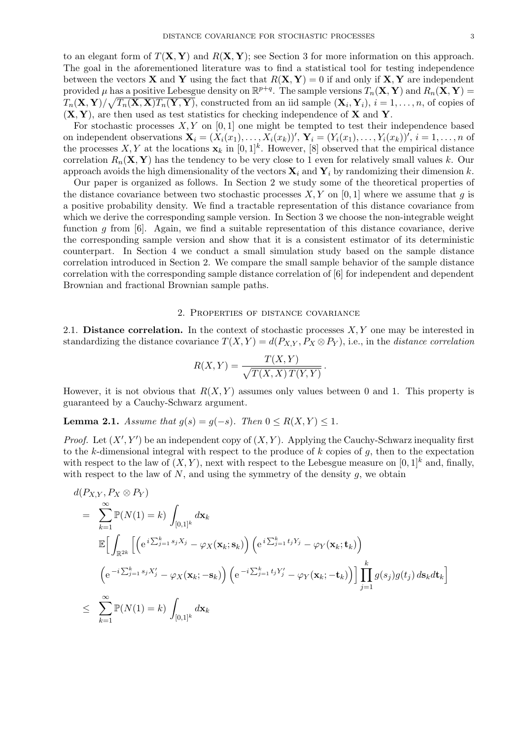to an elegant form of  $T(X, Y)$  and  $R(X, Y)$ ; see Section 3 for more information on this approach. The goal in the aforementioned literature was to find a statistical tool for testing independence between the vectors **X** and **Y** using the fact that  $R(X, Y) = 0$  if and only if **X**, **Y** are independent provided  $\mu$  has a positive Lebesgue density on  $\mathbb{R}^{p+q}$ . The sample versions  $T_n(\mathbf{X}, \mathbf{Y})$  and  $R_n(\mathbf{X}, \mathbf{Y}) =$  $T_n(\mathbf{X}, \mathbf{Y})/\sqrt{T_n(\mathbf{X}, \mathbf{X})T_n(\mathbf{Y}, \mathbf{Y})}$ , constructed from an iid sample  $(\mathbf{X}_i, \mathbf{Y}_i)$ ,  $i = 1, \ldots, n$ , of copies of (**X***,* **Y**), are then used as test statistics for checking independence of **X** and **Y**.

For stochastic processes  $X, Y$  on [0, 1] one might be tempted to test their independence based on independent observations  $\mathbf{X}_i = (X_i(x_1), \dots, X_i(x_k))'$ ,  $\mathbf{Y}_i = (Y_i(x_1), \dots, Y_i(x_k))'$ ,  $i = 1, \dots, n$  of the processes  $X, Y$  at the locations  $\mathbf{x}_k$  in  $[0,1]^k$ . However, [8] observed that the empirical distance correlation  $R_n(\mathbf{X}, \mathbf{Y})$  has the tendency to be very close to 1 even for relatively small values *k*. Our approach avoids the high dimensionality of the vectors  $\mathbf{X}_i$  and  $\mathbf{Y}_i$  by randomizing their dimension  $k$ .

Our paper is organized as follows. In Section 2 we study some of the theoretical properties of the distance covariance between two stochastic processes  $X, Y$  on [0, 1] where we assume that q is a positive probability density. We find a tractable representation of this distance covariance from which we derive the corresponding sample version. In Section 3 we choose the non-integrable weight function *g* from [6]. Again, we find a suitable representation of this distance covariance, derive the corresponding sample version and show that it is a consistent estimator of its deterministic counterpart. In Section 4 we conduct a small simulation study based on the sample distance correlation introduced in Section 2. We compare the small sample behavior of the sample distance correlation with the corresponding sample distance correlation of [6] for independent and dependent Brownian and fractional Brownian sample paths.

## 2. Properties of distance covariance

2.1. **Distance correlation.** In the context of stochastic processes *X, Y* one may be interested in standardizing the distance covariance  $T(X, Y) = d(P_{X,Y}, P_X \otimes P_Y)$ , i.e., in the *distance correlation* 

$$
R(X,Y) = \frac{T(X,Y)}{\sqrt{T(X,X) T(Y,Y)}}.
$$

However, it is not obvious that *R*(*X, Y* ) assumes only values between 0 and 1. This property is guaranteed by a Cauchy-Schwarz argument.

**Lemma 2.1.** *Assume that*  $g(s) = g(-s)$ *. Then*  $0 \le R(X, Y) \le 1$ *.* 

*Proof.* Let  $(X', Y')$  be an independent copy of  $(X, Y)$ . Applying the Cauchy-Schwarz inequality first to the *k*-dimensional integral with respect to the produce of *k* copies of *g*, then to the expectation with respect to the law of  $(X, Y)$ , next with respect to the Lebesgue measure on  $[0, 1]^k$  and, finally, with respect to the law of *N*, and using the symmetry of the density *g*, we obtain

$$
d(P_{X,Y}, P_X \otimes P_Y)
$$
\n
$$
= \sum_{k=1}^{\infty} \mathbb{P}(N(1) = k) \int_{[0,1]^k} d\mathbf{x}_k
$$
\n
$$
\mathbb{E} \Big[ \int_{\mathbb{R}^{2k}} \Big[ \Big( e^{i \sum_{j=1}^k s_j X_j} - \varphi_X(\mathbf{x}_k; \mathbf{s}_k) \Big) \Big( e^{i \sum_{j=1}^k t_j Y_j} - \varphi_Y(\mathbf{x}_k; \mathbf{t}_k) \Big)
$$
\n
$$
\Big( e^{-i \sum_{j=1}^k s_j X'_j} - \varphi_X(\mathbf{x}_k; -\mathbf{s}_k) \Big) \Big( e^{-i \sum_{j=1}^k t_j Y'_j} - \varphi_Y(\mathbf{x}_k; -\mathbf{t}_k) \Big) \Big] \prod_{j=1}^k g(s_j) g(t_j) ds_k dt_k \Big]
$$
\n
$$
\leq \sum_{k=1}^{\infty} \mathbb{P}(N(1) = k) \int_{[0,1]^k} d\mathbf{x}_k
$$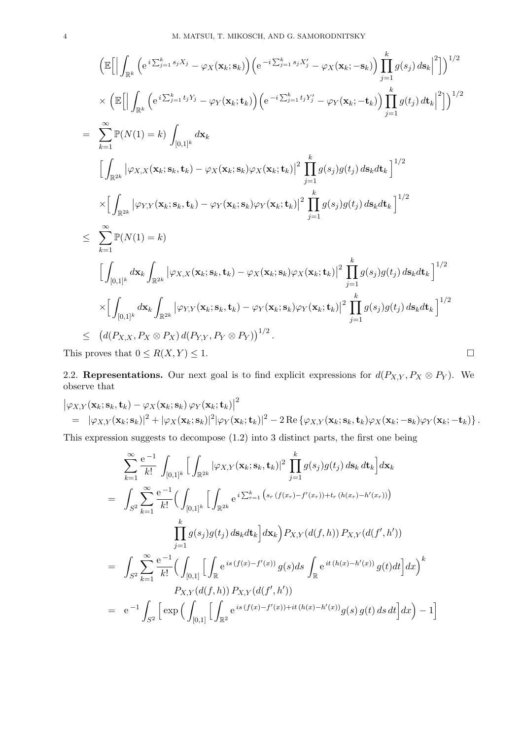$$
\begin{split}\n&\left(\mathbb{E}\Big[\Big|\int_{\mathbb{R}^k}\Big(e^{i\sum_{j=1}^ks_jX_j}-\varphi_X(\mathbf{x}_k;\mathbf{s}_k)\Big)\Big(e^{-i\sum_{j=1}^ks_jX'_j}-\varphi_X(\mathbf{x}_k;\mathbf{-s}_k)\Big)\prod_{j=1}^kg(s_j)\,ds_k\Big|^2\Big]\right)^{1/2} \\
&\times \Big(\mathbb{E}\Big[\Big|\int_{\mathbb{R}^k}\Big(e^{i\sum_{j=1}^k t_jY_j}-\varphi_Y(\mathbf{x}_k;t_k)\Big)\Big(e^{-i\sum_{j=1}^k t_jY'_j}-\varphi_Y(\mathbf{x}_k;\mathbf{-t}_k)\Big)\prod_{j=1}^kg(t_j)\,dt_k\Big|^2\Big]\Big)^{1/2} \\
&=\sum_{k=1}^\infty\mathbb{P}(N(1)=k)\int_{[0,1]^k}d\mathbf{x}_k \\
&\Big[\int_{\mathbb{R}^{2k}}|\varphi_{X,X}(\mathbf{x}_k;\mathbf{s}_k,t_k)-\varphi_X(\mathbf{x}_k;\mathbf{s}_k)\varphi_X(\mathbf{x}_k;t_k)\Big|^2\prod_{j=1}^kg(s_j)g(t_j)\,ds_kdt_k\Big]^{1/2} \\
&\times\Big[\int_{\mathbb{R}^{2k}}|\varphi_{Y,Y}(\mathbf{x}_k;\mathbf{s}_k,t_k)-\varphi_Y(\mathbf{x}_k;\mathbf{s}_k)\varphi_Y(\mathbf{x}_k;t_k)\Big|^2\prod_{j=1}^kg(s_j)g(t_j)\,ds_kdt_k\Big]^{1/2} \\
&\leq \sum_{k=1}^\infty\mathbb{P}(N(1)=k) \\
&\Big[\int_{[0,1]^k}d\mathbf{x}_k\int_{\mathbb{R}^{2k}}|\varphi_{X,X}(\mathbf{x}_k;\mathbf{s}_k,t_k)-\varphi_X(\mathbf{x}_k;\mathbf{s}_k)\varphi_X(\mathbf{x}_k;t_k)\Big|^2\prod_{j=1}^kg(s_j)g(t_j)\,ds_kdt_k\Big]^{1/2} \\
&\times\Big[\int_{[0,1]^k}d\mathbf{x}_k\int_{\mathbb{R}^{2k}}|\varphi_{Y,Y}(\mathbf{x}_k;\mathbf{s}_k,t_k)-\varphi_Y(\mathbf{x}_k;\mathbf{s}_k)\varphi_Y(\mathbf{x}_k;t_k)\Big|^2\prod_{j=1}^kg(s_j)g(t_j)\,ds_kdt_k\Big]
$$

2.2. **Representations.** Our next goal is to find explicit expressions for  $d(P_{X,Y}, P_X \otimes P_Y)$ . We observe that

$$
\begin{split}\n&\left|\varphi_{X,Y}(\mathbf{x}_k;\mathbf{s}_k,\mathbf{t}_k)-\varphi_X(\mathbf{x}_k;\mathbf{s}_k)\varphi_Y(\mathbf{x}_k;\mathbf{t}_k)\right|^2 \\
&= \|\varphi_{X,Y}(\mathbf{x}_k;\mathbf{s}_k)\|^2 + |\varphi_X(\mathbf{x}_k;\mathbf{s}_k)|^2|\varphi_Y(\mathbf{x}_k;\mathbf{t}_k)|^2 - 2\operatorname{Re}\left\{\varphi_{X,Y}(\mathbf{x}_k;\mathbf{s}_k,\mathbf{t}_k)\varphi_X(\mathbf{x}_k;-\mathbf{s}_k)\varphi_Y(\mathbf{x}_k;-\mathbf{t}_k)\right\}.\n\end{split}
$$

This expression suggests to decompose (1.2) into 3 distinct parts, the first one being

$$
\sum_{k=1}^{\infty} \frac{e^{-1}}{k!} \int_{[0,1]^k} \Big[ \int_{\mathbb{R}^{2k}} |\varphi_{X,Y}(\mathbf{x}_k; \mathbf{s}_k, \mathbf{t}_k)|^2 \prod_{j=1}^k g(s_j)g(t_j) ds_k dt_k \Big] d\mathbf{x}_k
$$
  
\n
$$
= \int_{S^2} \sum_{k=1}^{\infty} \frac{e^{-1}}{k!} \Big( \int_{[0,1]^k} \Big[ \int_{\mathbb{R}^{2k}} e^{i \sum_{r=1}^k \left( s_r (f(x_r) - f'(x_r)) + t_r (h(x_r) - h'(x_r)) \right)} \Big]
$$
  
\n
$$
= \int_{S^2} \sum_{k=1}^{\infty} \frac{e^{-1}}{k!} \Big( \int_{[0,1]} \Big[ \int_{\mathbb{R}} e^{is (f(x) - f'(x))} g(s) ds \int_{\mathbb{R}} e^{it (h(x) - h'(x))} g(t) dt \Big] dx \Big)^k
$$
  
\n
$$
P_{X,Y}(d(f, h)) P_{X,Y}(d(f', h'))
$$
  
\n
$$
= e^{-1} \int_{S^2} \Big[ \exp \Big( \int_{[0,1]} \Big[ \int_{\mathbb{R}^2} e^{is (f(x) - f'(x)) + it (h(x) - h'(x))} g(s) g(t) ds dt \Big] dx \Big) - 1 \Big]
$$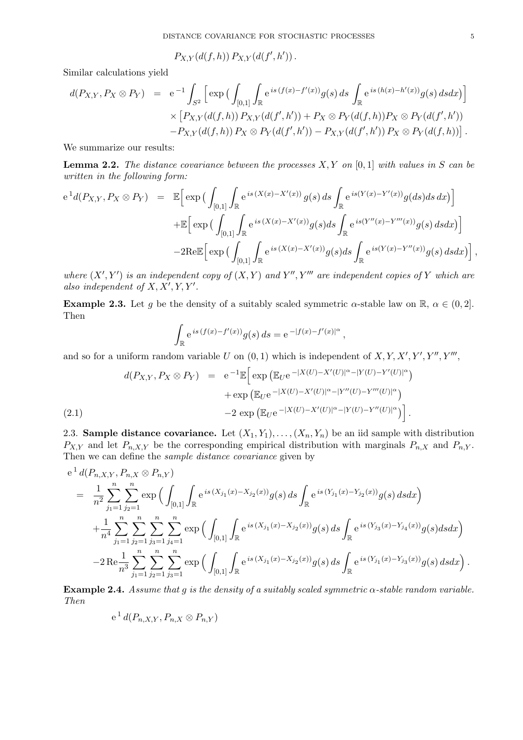$P_{X,Y}(d(f,h)) P_{X,Y}(d(f',h'))$ .

Similar calculations yield

$$
d(P_{X,Y}, P_X \otimes P_Y) = e^{-1} \int_{S^2} \left[ \exp \left( \int_{[0,1]} \int_{\mathbb{R}} e^{is (f(x) - f'(x))} g(s) ds \int_{\mathbb{R}} e^{is (h(x) - h'(x))} g(s) ds dx \right) \right] \times \left[ P_{X,Y}(d(f,h)) P_{X,Y}(d(f',h')) + P_X \otimes P_Y(d(f,h)) P_X \otimes P_Y(d(f',h')) - P_{X,Y}(d(f,h)) \right].
$$

We summarize our results:

**Lemma 2.2.** *The distance covariance between the processes X, Y on* [0*,* 1] *with values in S can be written in the following form:*

$$
e^{1}d(P_{X,Y},P_X \otimes P_Y) = \mathbb{E}\Big[\exp\big(\int_{[0,1]}\int_{\mathbb{R}} e^{is(X(x)-X'(x))}g(s)ds \int_{\mathbb{R}} e^{is(Y(x)-Y'(x))}g(ds)ds dx\big)\Big] \n+ \mathbb{E}\Big[\exp\big(\int_{[0,1]}\int_{\mathbb{R}} e^{is(X(x)-X'(x))}g(s)ds \int_{\mathbb{R}} e^{is(Y''(x)-Y'''(x))}g(s)ds dx\big)\Big] \n-2\text{Re}\mathbb{E}\Big[\exp\big(\int_{[0,1]}\int_{\mathbb{R}} e^{is(X(x)-X'(x))}g(s)ds \int_{\mathbb{R}} e^{is(Y(x)-Y''(x))}g(s)ds dx\big)\Big],
$$

*where*  $(X', Y')$  *is an independent copy of*  $(X, Y)$  *and*  $Y'', Y'''$  *are independent copies of*  $Y$  *which are also independent of*  $X, X', Y, Y'$ .

**Example 2.3.** Let *g* be the density of a suitably scaled symmetric *α*-stable law on R,  $\alpha \in (0, 2]$ . Then

$$
\int_{\mathbb{R}} e^{is (f(x) - f'(x))} g(s) ds = e^{-|f(x) - f'(x)|^{\alpha}},
$$

and so for a uniform random variable *U* on  $(0,1)$  which is independent of  $X, Y, X', Y', Y'', Y''',$ 

(2.1) 
$$
d(P_{X,Y}, P_X \otimes P_Y) = e^{-1} \mathbb{E} \Big[ \exp \big( \mathbb{E}_U e^{-|X(U) - X'(U)|^{\alpha} - |Y(U) - Y'(U)|^{\alpha}} \big) + \exp \big( \mathbb{E}_U e^{-|X(U) - X'(U)|^{\alpha} - |Y''(U) - Y'''(U)|^{\alpha}} \big) - 2 \exp \big( \mathbb{E}_U e^{-|X(U) - X'(U)|^{\alpha} - |Y(U) - Y''(U)|^{\alpha}} \big) \Big].
$$

2.3. **Sample distance covariance.** Let  $(X_1, Y_1), \ldots, (X_n, Y_n)$  be an iid sample with distribution  $P_{X,Y}$  and let  $P_{n,X,Y}$  be the corresponding empirical distribution with marginals  $P_{n,X}$  and  $P_{n,Y}$ . Then we can define the *sample distance covariance* given by

$$
e^{1} d(P_{n,X,Y}, P_{n,X} \otimes P_{n,Y})
$$
\n
$$
= \frac{1}{n^{2}} \sum_{j_{1}=1}^{n} \sum_{j_{2}=1}^{n} \exp \Big( \int_{[0,1]} \int_{\mathbb{R}} e^{is (X_{j_{1}}(x)-X_{j_{2}}(x))} g(s) ds \int_{\mathbb{R}} e^{is (Y_{j_{1}}(x)-Y_{j_{2}}(x))} g(s) ds dx \Big)
$$
\n
$$
+ \frac{1}{n^{4}} \sum_{j_{1}=1}^{n} \sum_{j_{2}=1}^{n} \sum_{j_{3}=1}^{n} \sum_{j_{4}=1}^{n} \exp \Big( \int_{[0,1]} \int_{\mathbb{R}} e^{is (X_{j_{1}}(x)-X_{j_{2}}(x))} g(s) ds \int_{\mathbb{R}} e^{is (Y_{j_{3}}(x)-Y_{j_{4}}(x))} g(s) ds dx \Big)
$$
\n
$$
-2 \operatorname{Re} \frac{1}{n^{3}} \sum_{j_{1}=1}^{n} \sum_{j_{2}=1}^{n} \sum_{j_{3}=1}^{n} \exp \Big( \int_{[0,1]} \int_{\mathbb{R}} e^{is (X_{j_{1}}(x)-X_{j_{2}}(x))} g(s) ds \int_{\mathbb{R}} e^{is (Y_{j_{1}}(x)-Y_{j_{3}}(x))} g(s) ds dx \Big).
$$

**Example 2.4.** *Assume that g is the density of a suitably scaled symmetric α-stable random variable. Then*

$$
e^1 d(P_{n,X,Y}, P_{n,X} \otimes P_{n,Y})
$$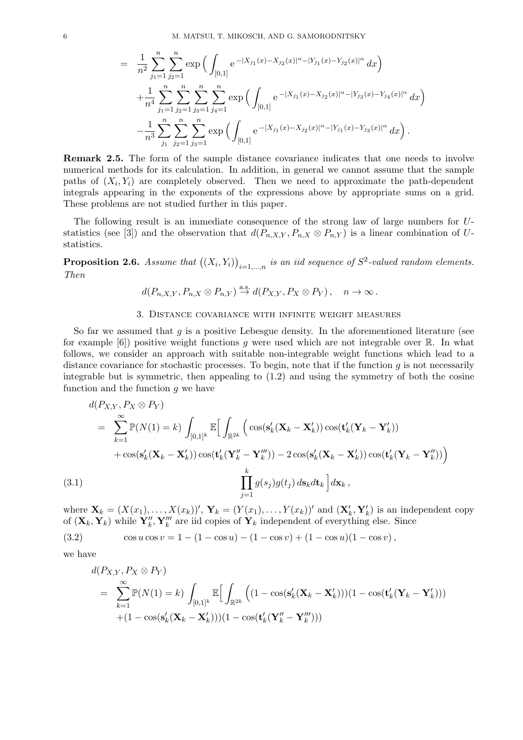$$
= \frac{1}{n^2} \sum_{j_1=1}^n \sum_{j_2=1}^n \exp\left(\int_{[0,1]} e^{-|X_{j_1}(x)-X_{j_2}(x)|^{\alpha}-|Y_{j_1}(x)-Y_{j_2}(x)|^{\alpha}} dx\right) + \frac{1}{n^4} \sum_{j_1=1}^n \sum_{j_2=1}^n \sum_{j_3=1}^n \sum_{j_4=1}^n \exp\left(\int_{[0,1]} e^{-|X_{j_1}(x)-X_{j_2}(x)|^{\alpha}-|Y_{j_3}(x)-Y_{j_4}(x)|^{\alpha}} dx\right) - \frac{1}{n^3} \sum_{j_1}^n \sum_{j_2=1}^n \sum_{j_3=1}^n \exp\left(\int_{[0,1]} e^{-|X_{j_1}(x)-X_{j_2}(x)|^{\alpha}-|Y_{j_1}(x)-Y_{j_3}(x)|^{\alpha}} dx\right).
$$

**Remark 2.5.** The form of the sample distance covariance indicates that one needs to involve numerical methods for its calculation. In addition, in general we cannot assume that the sample paths of  $(X_i, Y_i)$  are completely observed. Then we need to approximate the path-dependent integrals appearing in the exponents of the expressions above by appropriate sums on a grid. These problems are not studied further in this paper.

The following result is an immediate consequence of the strong law of large numbers for *U*statistics (see [3]) and the observation that  $d(P_{n,X,Y}, P_{n,X} \otimes P_{n,Y})$  is a linear combination of *U*statistics.

**Proposition 2.6.** Assume that  $((X_i, Y_i))_{i=1,\dots,n}$  is an iid sequence of  $S^2$ -valued random elements. *Then*

$$
d(P_{n,X,Y}, P_{n,X} \otimes P_{n,Y}) \stackrel{\text{a.s.}}{\rightarrow} d(P_{X,Y}, P_X \otimes P_Y), \quad n \rightarrow \infty.
$$

## 3. Distance covariance with infinite weight measures

So far we assumed that *g* is a positive Lebesgue density. In the aforementioned literature (see for example [6]) positive weight functions *g* were used which are not integrable over R. In what follows, we consider an approach with suitable non-integrable weight functions which lead to a distance covariance for stochastic processes. To begin, note that if the function *g* is not necessarily integrable but is symmetric, then appealing to (1.2) and using the symmetry of both the cosine function and the function *g* we have

$$
d(P_{X,Y}, P_X \otimes P_Y)
$$
\n
$$
= \sum_{k=1}^{\infty} \mathbb{P}(N(1) = k) \int_{[0,1]^k} \mathbb{E} \Big[ \int_{\mathbb{R}^{2k}} \Big( \cos(s'_k(\mathbf{X}_k - \mathbf{X}'_k)) \cos(t'_k(\mathbf{Y}_k - \mathbf{Y}'_k)) + \cos(s'_k(\mathbf{X}_k - \mathbf{X}'_k)) \cos(t'_k(\mathbf{Y}'_k - \mathbf{Y}''_k)) - 2 \cos(s'_k(\mathbf{X}_k - \mathbf{X}'_k)) \cos(t'_k(\mathbf{Y}_k - \mathbf{Y}''_k)) \Big]
$$
\n(3.1)\n
$$
\prod_{j=1}^k g(s_j) g(t_j) \, ds_k dt_k \Big] dx_k,
$$

where  $\mathbf{X}_k = (X(x_1), \dots, X(x_k))'$ ,  $\mathbf{Y}_k = (Y(x_1), \dots, Y(x_k))'$  and  $(\mathbf{X}'_k, \mathbf{Y}'_k)$  is an independent copy of  $(X_k, Y_k)$  while  $Y''_k, Y'''_k$  are iid copies of  $Y_k$  independent of everything else. Since

(3.2) 
$$
\cos u \cos v = 1 - (1 - \cos u) - (1 - \cos v) + (1 - \cos u)(1 - \cos v),
$$

we have

$$
d(P_{X,Y}, P_X \otimes P_Y)
$$
  
= 
$$
\sum_{k=1}^{\infty} \mathbb{P}(N(1) = k) \int_{[0,1]^k} \mathbb{E} \Big[ \int_{\mathbb{R}^{2k}} \Big( (1 - \cos(s'_k(\mathbf{X}_k - \mathbf{X}'_k))) (1 - \cos(t'_k(\mathbf{Y}_k - \mathbf{Y}'_k)))
$$
  
+ 
$$
(1 - \cos(s'_k(\mathbf{X}_k - \mathbf{X}'_k))) (1 - \cos(t'_k(\mathbf{Y}''_k - \mathbf{Y}'''_k)))
$$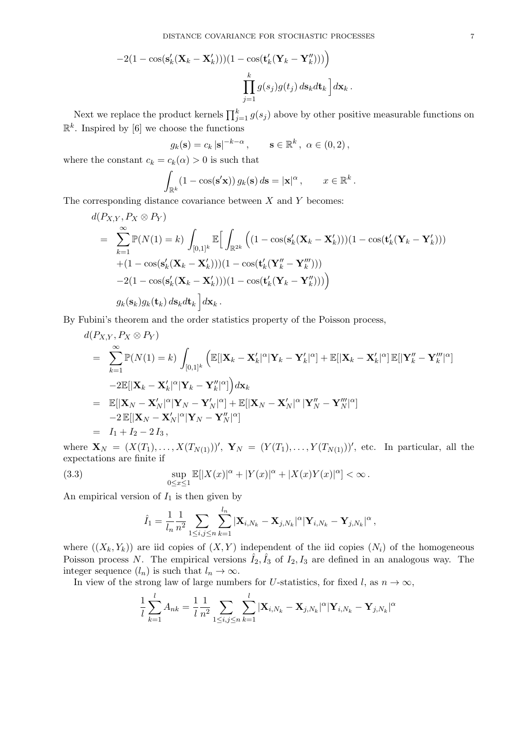$$
-2(1 - \cos(s'_k(\mathbf{X}_k - \mathbf{X}'_k)))(1 - \cos(t'_k(\mathbf{Y}_k - \mathbf{Y}''_k)))\n\prod_{j=1}^k g(s_j)g(t_j) ds_k dt_k\n\bigg] dx_k.
$$

Next we replace the product kernels  $\prod_{j=1}^{k} g(s_j)$  above by other positive measurable functions on  $\mathbb{R}^k$ . Inspired by [6] we choose the functions

$$
g_k(\mathbf{s}) = c_k |\mathbf{s}|^{-k-\alpha}, \quad \mathbf{s} \in \mathbb{R}^k, \ \alpha \in (0,2),
$$

where the constant  $c_k = c_k(\alpha) > 0$  is such that

$$
\int_{\mathbb{R}^k} (1 - \cos(\mathbf{s}' \mathbf{x})) g_k(\mathbf{s}) d\mathbf{s} = |\mathbf{x}|^{\alpha}, \qquad x \in \mathbb{R}^k.
$$

The corresponding distance covariance between *X* and *Y* becomes:

$$
d(P_{X,Y}, P_X \otimes P_Y)
$$
  
= 
$$
\sum_{k=1}^{\infty} \mathbb{P}(N(1) = k) \int_{[0,1]^k} \mathbb{E} \Big[ \int_{\mathbb{R}^{2k}} \Big( (1 - \cos(s'_k(\mathbf{X}_k - \mathbf{X}'_k))) (1 - \cos(t'_k(\mathbf{Y}_k - \mathbf{Y}'_k)))
$$
  
+ 
$$
(1 - \cos(s'_k(\mathbf{X}_k - \mathbf{X}'_k))) (1 - \cos(t'_k(\mathbf{Y}''_k - \mathbf{Y}'''_k)))
$$
  
-2
$$
(1 - \cos(s'_k(\mathbf{X}_k - \mathbf{X}'_k))) (1 - \cos(t'_k(\mathbf{Y}_k - \mathbf{Y}''_k)))
$$
  

$$
g_k(s_k) g_k(\mathbf{t}_k) ds_k d\mathbf{t}_k \Big] d\mathbf{x}_k.
$$

By Fubini's theorem and the order statistics property of the Poisson process,

$$
d(P_{X,Y}, P_X \otimes P_Y)
$$
\n
$$
= \sum_{k=1}^{\infty} \mathbb{P}(N(1) = k) \int_{[0,1]^k} \left( \mathbb{E}[\vert \mathbf{X}_k - \mathbf{X}'_k \vert^{\alpha} \vert \mathbf{Y}_k - \mathbf{Y}'_k \vert^{\alpha}] + \mathbb{E}[\vert \mathbf{X}_k - \mathbf{X}'_k \vert^{\alpha} \vert \mathbb{E}[\vert \mathbf{Y}''_k - \mathbf{Y}'''_k \vert^{\alpha}] - 2 \mathbb{E}[\vert \mathbf{X}_k - \mathbf{X}'_k \vert^{\alpha} \vert \mathbf{Y}_k - \mathbf{Y}''_k \vert^{\alpha}] \right) d\mathbf{x}_k
$$
\n
$$
= \mathbb{E}[\vert \mathbf{X}_N - \mathbf{X}'_N \vert^{\alpha} \vert \mathbf{Y}_N - \mathbf{Y}'_N \vert^{\alpha}] + \mathbb{E}[\vert \mathbf{X}_N - \mathbf{X}'_N \vert^{\alpha} \vert \mathbf{Y}''_N - \mathbf{Y}'''_N \vert^{\alpha}]
$$
\n
$$
-2 \mathbb{E}[\vert \mathbf{X}_N - \mathbf{X}'_N \vert^{\alpha} \vert \mathbf{Y}_N - \mathbf{Y}'''_N \vert^{\alpha}]
$$
\n
$$
= I_1 + I_2 - 2 I_3,
$$

where  $\mathbf{X}_N = (X(T_1),...,X(T_{N(1)}))'$ ,  $\mathbf{Y}_N = (Y(T_1),...,Y(T_{N(1)}))'$ , etc. In particular, all the expectations are finite if

(3.3) 
$$
\sup_{0 \le x \le 1} \mathbb{E}[|X(x)|^{\alpha} + |Y(x)|^{\alpha} + |X(x)Y(x)|^{\alpha}] < \infty.
$$

An empirical version of  $I_1$  is then given by

$$
\hat{I}_1 = \frac{1}{l_n} \frac{1}{n^2} \sum_{1 \le i,j \le n} \sum_{k=1}^{l_n} |\mathbf{X}_{i,N_k} - \mathbf{X}_{j,N_k}|^{\alpha} |\mathbf{Y}_{i,N_k} - \mathbf{Y}_{j,N_k}|^{\alpha},
$$

where  $((X_k, Y_k))$  are iid copies of  $(X, Y)$  independent of the iid copies  $(N_i)$  of the homogeneous Poisson process *N*. The empirical versions  $\hat{I}_2, \hat{I}_3$  of  $I_2, I_3$  are defined in an analogous way. The integer sequence  $(l_n)$  is such that  $l_n \to \infty$ .

In view of the strong law of large numbers for *U*-statistics, for fixed *l*, as  $n \to \infty$ ,

$$
\frac{1}{l}\sum_{k=1}^{l} A_{nk} = \frac{1}{l}\frac{1}{n^2} \sum_{1 \le i,j \le n} \sum_{k=1}^{l} |\mathbf{X}_{i,N_k} - \mathbf{X}_{j,N_k}|^{\alpha} |\mathbf{Y}_{i,N_k} - \mathbf{Y}_{j,N_k}|^{\alpha}
$$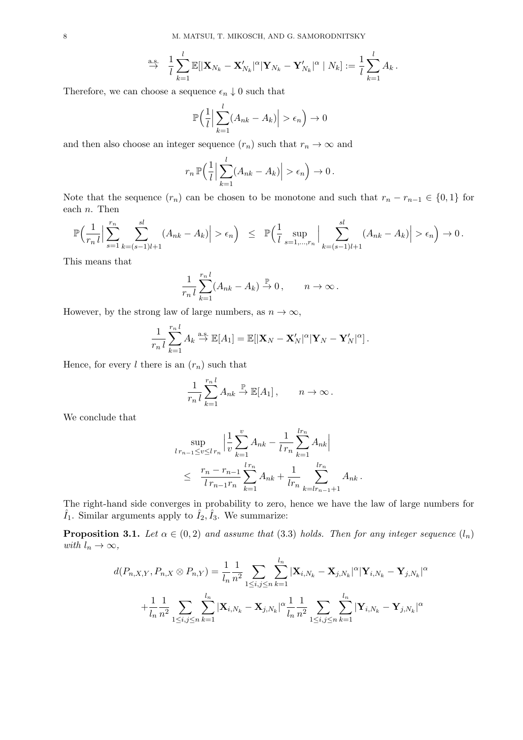$$
\stackrel{\text{a.s.}}{\rightarrow} \frac{1}{l} \sum_{k=1}^l \mathbb{E}[|\mathbf{X}_{N_k} - \mathbf{X}_{N_k}'|^{\alpha}|\mathbf{Y}_{N_k} - \mathbf{Y}_{N_k}'|^{\alpha}|N_k] := \frac{1}{l} \sum_{k=1}^l A_k.
$$

Therefore, we can choose a sequence  $\epsilon_n \downarrow 0$  such that

$$
\mathbb{P}\Big(\frac{1}{l}\Big|\sum_{k=1}^{l}(A_{nk}-A_k)\Big|>\epsilon_n\Big)\to 0
$$

and then also choose an integer sequence  $(r_n)$  such that  $r_n \to \infty$  and

$$
r_n \mathbb{P}\left(\frac{1}{l}\Big|\sum_{k=1}^l (A_{nk} - A_k)\Big| > \epsilon_n\right) \to 0.
$$

Note that the sequence  $(r_n)$  can be chosen to be monotone and such that  $r_n - r_{n-1} \in \{0,1\}$  for each *n*. Then

$$
\mathbb{P}\Big(\frac{1}{r_n l}\Big|\sum_{s=1}^{r_n}\sum_{k=(s-1)l+1}^{sl}(A_{nk}-A_k)\Big|>\epsilon_n\Big)\quad \leq\quad \mathbb{P}\Big(\frac{1}{l}\sup_{s=1,\ldots,r_n}\Big|\sum_{k=(s-1)l+1}^{sl}(A_{nk}-A_k)\Big|>\epsilon_n\Big)\to 0\,.
$$

This means that

$$
\frac{1}{r_n l} \sum_{k=1}^{r_n l} (A_{nk} - A_k) \overset{\mathbb{P}}{\to} 0, \qquad n \to \infty.
$$

However, by the strong law of large numbers, as  $n \to \infty$ ,

$$
\frac{1}{r_n l} \sum_{k=1}^{r_n l} A_k \stackrel{\text{a.s.}}{\to} \mathbb{E}[A_1] = \mathbb{E}[|\mathbf{X}_N - \mathbf{X}_N'|^{\alpha}|\mathbf{Y}_N - \mathbf{Y}_N'|^{\alpha}].
$$

Hence, for every  $l$  there is an  $(r_n)$  such that

$$
\frac{1}{r_n l} \sum_{k=1}^{r_n l} A_{nk} \stackrel{\mathbb{P}}{\rightarrow} \mathbb{E}[A_1], \qquad n \to \infty.
$$

We conclude that

$$
\sup_{l r_{n-1} \le v \le l r_n} \left| \frac{1}{v} \sum_{k=1}^v A_{nk} - \frac{1}{l r_n} \sum_{k=1}^{l r_n} A_{nk} \right|
$$
  

$$
\le \frac{r_n - r_{n-1}}{l r_{n-1} r_n} \sum_{k=1}^{l r_n} A_{nk} + \frac{1}{l r_n} \sum_{k=l r_{n-1}+1}^{l r_n} A_{nk}.
$$

The right-hand side converges in probability to zero, hence we have the law of large numbers for  $\hat{I}_1$ . Similar arguments apply to  $\hat{I}_2$ ,  $\hat{I}_3$ . We summarize:

**Proposition 3.1.** *Let*  $\alpha \in (0,2)$  *and assume that* (3.3) *holds. Then for any integer sequence*  $(l_n)$ *with*  $l_n \to \infty$ ,

$$
d(P_{n,X,Y}, P_{n,X} \otimes P_{n,Y}) = \frac{1}{l_n} \frac{1}{n^2} \sum_{1 \le i,j \le n} \sum_{k=1}^{l_n} |\mathbf{X}_{i,N_k} - \mathbf{X}_{j,N_k}|^{\alpha} |\mathbf{Y}_{i,N_k} - \mathbf{Y}_{j,N_k}|^{\alpha}
$$

$$
+ \frac{1}{l_n} \frac{1}{n^2} \sum_{1 \le i,j \le n} \sum_{k=1}^{l_n} |\mathbf{X}_{i,N_k} - \mathbf{X}_{j,N_k}|^{\alpha} \frac{1}{l_n} \frac{1}{n^2} \sum_{1 \le i,j \le n} \sum_{k=1}^{l_n} |\mathbf{Y}_{i,N_k} - \mathbf{Y}_{j,N_k}|^{\alpha}
$$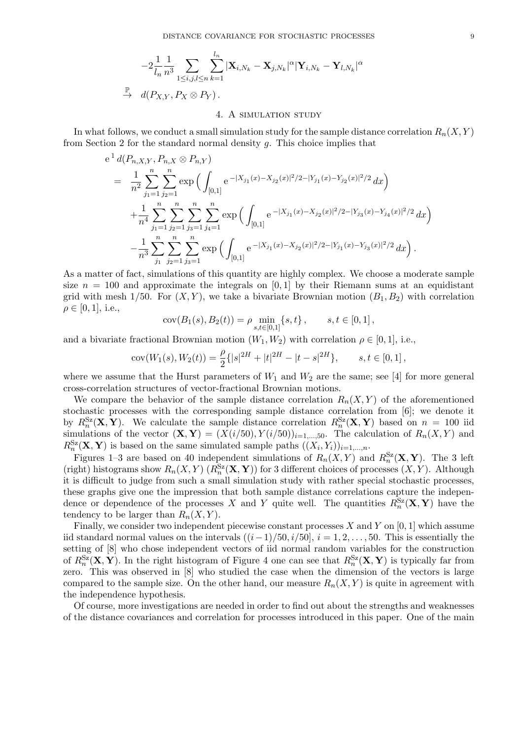$$
-2\frac{1}{l_n}\frac{1}{n^3}\sum_{1\leq i,j,l\leq n}\sum_{k=1}^{l_n}|\mathbf{X}_{i,N_k}-\mathbf{X}_{j,N_k}|^{\alpha}|\mathbf{Y}_{i,N_k}-\mathbf{Y}_{l,N_k}|^{\alpha}
$$
  
\n
$$
\xrightarrow{\mathbb{P}} d(P_{X,Y},P_X\otimes P_Y).
$$

### 4. A simulation study

In what follows, we conduct a small simulation study for the sample distance correlation  $R_n(X, Y)$ from Section 2 for the standard normal density *g*. This choice implies that

$$
e^{1} d(P_{n,X,Y}, P_{n,X} \otimes P_{n,Y})
$$
\n
$$
= \frac{1}{n^{2}} \sum_{j_{1}=1}^{n} \sum_{j_{2}=1}^{n} \exp \Big( \int_{[0,1]} e^{-|X_{j_{1}}(x)-X_{j_{2}}(x)|^{2}/2-|Y_{j_{1}}(x)-Y_{j_{2}}(x)|^{2}/2} dx \Big)
$$
\n
$$
+ \frac{1}{n^{4}} \sum_{j_{1}=1}^{n} \sum_{j_{2}=1}^{n} \sum_{j_{3}=1}^{n} \sum_{j_{4}=1}^{n} \exp \Big( \int_{[0,1]} e^{-|X_{j_{1}}(x)-X_{j_{2}}(x)|^{2}/2-|Y_{j_{3}}(x)-Y_{j_{4}}(x)|^{2}/2} dx \Big)
$$
\n
$$
- \frac{1}{n^{3}} \sum_{j_{1}}^{n} \sum_{j_{2}=1}^{n} \sum_{j_{3}=1}^{n} \exp \Big( \int_{[0,1]} e^{-|X_{j_{1}}(x)-X_{j_{2}}(x)|^{2}/2-|Y_{j_{1}}(x)-Y_{j_{3}}(x)|^{2}/2} dx \Big).
$$

As a matter of fact, simulations of this quantity are highly complex. We choose a moderate sample size  $n = 100$  and approximate the integrals on [0,1] by their Riemann sums at an equidistant grid with mesh  $1/50$ . For  $(X, Y)$ , we take a bivariate Brownian motion  $(B_1, B_2)$  with correlation  $\rho \in [0, 1]$ , i.e.,

$$
cov(B_1(s), B_2(t)) = \rho \min_{s,t \in [0,1]} \{s, t\}, \qquad s, t \in [0,1],
$$

and a bivariate fractional Brownian motion  $(W_1, W_2)$  with correlation  $\rho \in [0, 1]$ , i.e.,

$$
cov(W_1(s), W_2(t)) = \frac{\rho}{2} \{|s|^{2H} + |t|^{2H} - |t - s|^{2H} \}, \qquad s, t \in [0, 1],
$$

where we assume that the Hurst parameters of  $W_1$  and  $W_2$  are the same; see [4] for more general cross-correlation structures of vector-fractional Brownian motions.

We compare the behavior of the sample distance correlation  $R_n(X, Y)$  of the aforementioned stochastic processes with the corresponding sample distance correlation from [6]; we denote it by  $R_n^{\text{Sz}}(\mathbf{X}, \mathbf{Y})$ . We calculate the sample distance correlation  $R_n^{\text{Sz}}(\mathbf{X}, \mathbf{Y})$  based on  $n = 100$  iid simulations of the vector  $(\mathbf{X}, \mathbf{Y}) = (X(i/50), Y(i/50))_{i=1,\dots,50}$ . The calculation of  $R_n(X, Y)$  and  $R_n^{\text{Sz}}(\mathbf{X}, \mathbf{Y})$  is based on the same simulated sample paths  $((X_i, Y_i))_{i=1,\dots,n}$ .

Figures 1–3 are based on 40 independent simulations of  $R_n(X, Y)$  and  $R_n^{\text{Sz}}(X, Y)$ . The 3 left (right) histograms show  $R_n(X, Y)$  ( $R_n^{\mathsf{Sz}}(\mathbf{X}, \mathbf{Y})$ ) for 3 different choices of processes  $(X, Y)$ . Although it is difficult to judge from such a small simulation study with rather special stochastic processes, these graphs give one the impression that both sample distance correlations capture the independence or dependence of the processes *X* and *Y* quite well. The quantities  $R_n^{\text{Sz}}(\mathbf{X}, \mathbf{Y})$  have the tendency to be larger than  $R_n(X, Y)$ .

Finally, we consider two independent piecewise constant processes *X* and *Y* on [0*,* 1] which assume iid standard normal values on the intervals ((*i−*1)*/*50*, i/*50]*, i* = 1*,* 2*, . . . ,* 50. This is essentially the setting of [8] who chose independent vectors of iid normal random variables for the construction of  $R_n^{\text{Sz}}(\mathbf{X}, \mathbf{Y})$ . In the right histogram of Figure 4 one can see that  $R_n^{\text{Sz}}(\mathbf{X}, \mathbf{Y})$  is typically far from zero. This was observed in [8] who studied the case when the dimension of the vectors is large compared to the sample size. On the other hand, our measure  $R_n(X, Y)$  is quite in agreement with the independence hypothesis.

Of course, more investigations are needed in order to find out about the strengths and weaknesses of the distance covariances and correlation for processes introduced in this paper. One of the main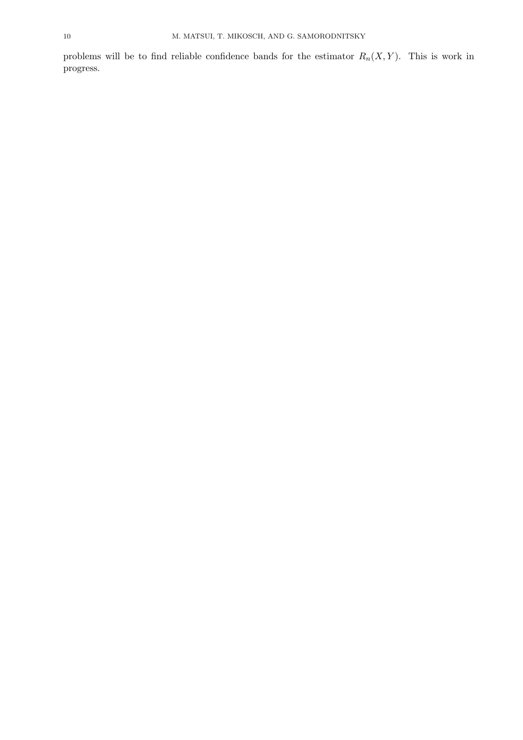problems will be to find reliable confidence bands for the estimator *Rn*(*X, Y* ). This is work in progress.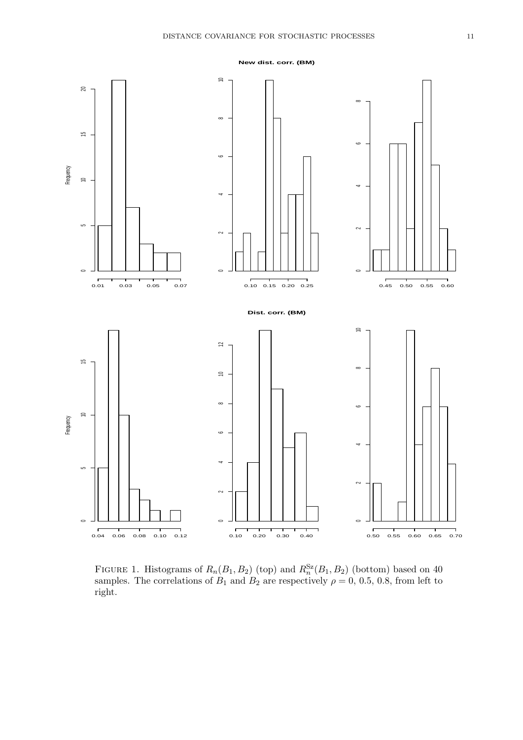



FIGURE 1. Histograms of  $R_n(B_1, B_2)$  (top) and  $R_n^{Sz}(B_1, B_2)$  (bottom) based on 40 samples. The correlations of  $B_1$  and  $B_2$  are respectively  $\rho = 0, 0.5, 0.8$ , from left to right.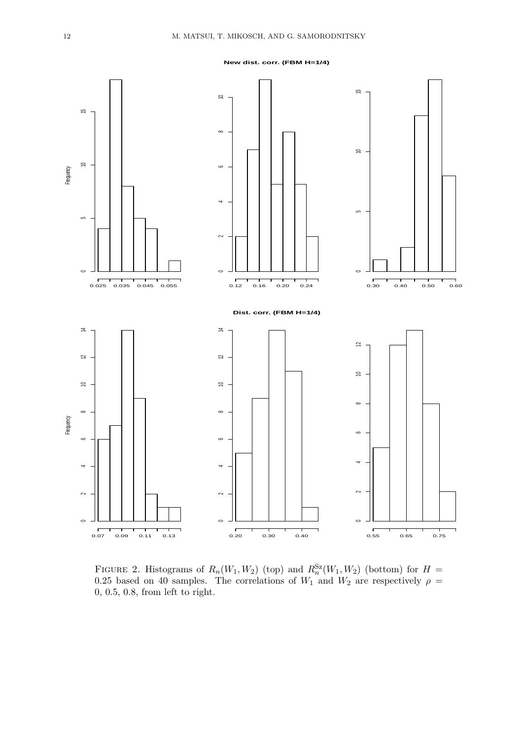**New dist. corr. (FBM H=1/4)**



FIGURE 2. Histograms of  $R_n(W_1, W_2)$  (top) and  $R_n^{Sz}(W_1, W_2)$  (bottom) for  $H =$ 0.25 based on 40 samples. The correlations of  $W_1$  and  $W_2$  are respectively  $\rho =$ 0*,* 0*.*5*,* 0*.*8, from left to right.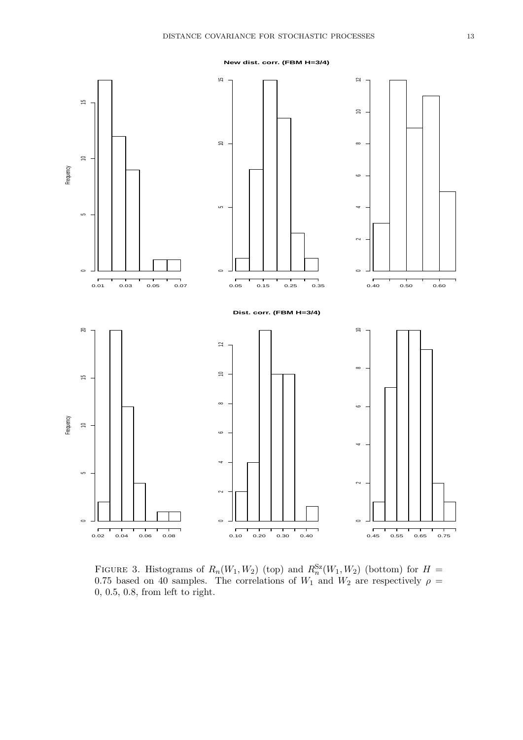**New dist. corr. (FBM H=3/4)**



FIGURE 3. Histograms of  $R_n(W_1, W_2)$  (top) and  $R_n^{Sz}(W_1, W_2)$  (bottom) for  $H =$ 0.75 based on 40 samples. The correlations of  $W_1$  and  $W_2$  are respectively  $\rho =$ 0*,* 0*.*5*,* 0*.*8, from left to right.